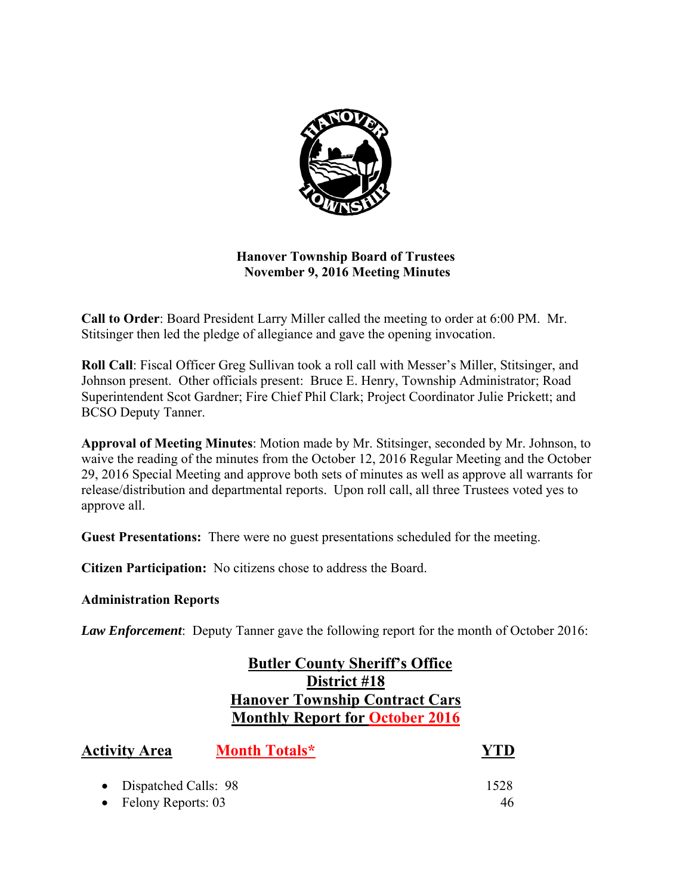

# **Hanover Township Board of Trustees November 9, 2016 Meeting Minutes**

**Call to Order**: Board President Larry Miller called the meeting to order at 6:00 PM. Mr. Stitsinger then led the pledge of allegiance and gave the opening invocation.

**Roll Call**: Fiscal Officer Greg Sullivan took a roll call with Messer's Miller, Stitsinger, and Johnson present. Other officials present: Bruce E. Henry, Township Administrator; Road Superintendent Scot Gardner; Fire Chief Phil Clark; Project Coordinator Julie Prickett; and BCSO Deputy Tanner.

**Approval of Meeting Minutes**: Motion made by Mr. Stitsinger, seconded by Mr. Johnson, to waive the reading of the minutes from the October 12, 2016 Regular Meeting and the October 29, 2016 Special Meeting and approve both sets of minutes as well as approve all warrants for release/distribution and departmental reports. Upon roll call, all three Trustees voted yes to approve all.

**Guest Presentations:** There were no guest presentations scheduled for the meeting.

**Citizen Participation:** No citizens chose to address the Board.

# **Administration Reports**

*Law Enforcement*: Deputy Tanner gave the following report for the month of October 2016:

# **Butler County Sheriff's Office District #18 Hanover Township Contract Cars Monthly Report for October 2016**

| <b>Activity Area</b>   | <b>Month Totals*</b> | <b>YTD</b> |
|------------------------|----------------------|------------|
| • Dispatched Calls: 98 |                      | 1528       |
| • Felony Reports: $03$ |                      | 46.        |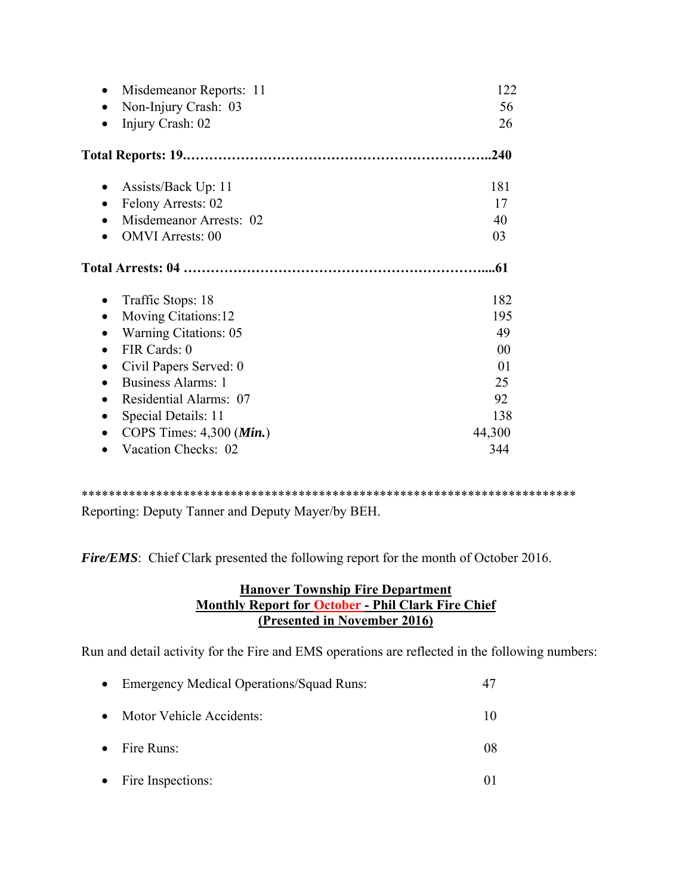| Misdemeanor Reports: 11             | 122    |
|-------------------------------------|--------|
| Non-Injury Crash: 03                | 56     |
| Injury Crash: 02                    | 26     |
|                                     | .240   |
| Assists/Back Up: 11                 | 181    |
| Felony Arrests: 02                  | 17     |
| Misdemeanor Arrests: 02             | 40     |
| <b>OMVI</b> Arrests: 00             | 03     |
|                                     | .61    |
| Traffic Stops: 18<br>$\bullet$      | 182    |
| Moving Citations:12                 | 195    |
| <b>Warning Citations: 05</b>        | 49     |
| FIR Cards: 0                        | 00     |
| Civil Papers Served: 0              | 01     |
| <b>Business Alarms: 1</b>           | 25     |
| Residential Alarms: 07              | 92     |
| Special Details: 11                 | 138    |
| COPS Times: $4,300$ ( <i>Min.</i> ) | 44,300 |
| Vacation Checks: 02                 | 344    |

\*\*\*\*\*\*\*\*\*\*\*\*\*\*\*\*\*\*\*\*\*\*\*\*\*\*\*\*\*\*\*\*\*\*\*\*\*\*\*\*\*\*\*\*\*\*\*\*\*\*\*\*\*\*\*\*\*\*\*\*\*\*\*\*\*\*\*\*\*\*\*\*\* Reporting: Deputy Tanner and Deputy Mayer/by BEH.

*Fire/EMS*: Chief Clark presented the following report for the month of October 2016.

# **Hanover Township Fire Department Monthly Report for October - Phil Clark Fire Chief (Presented in November 2016)**

Run and detail activity for the Fire and EMS operations are reflected in the following numbers:

|           | • Emergency Medical Operations/Squad Runs: |    |
|-----------|--------------------------------------------|----|
| $\bullet$ | Motor Vehicle Accidents:                   | 10 |
|           | $\bullet$ Fire Runs:                       | 08 |
|           | • Fire Inspections:                        |    |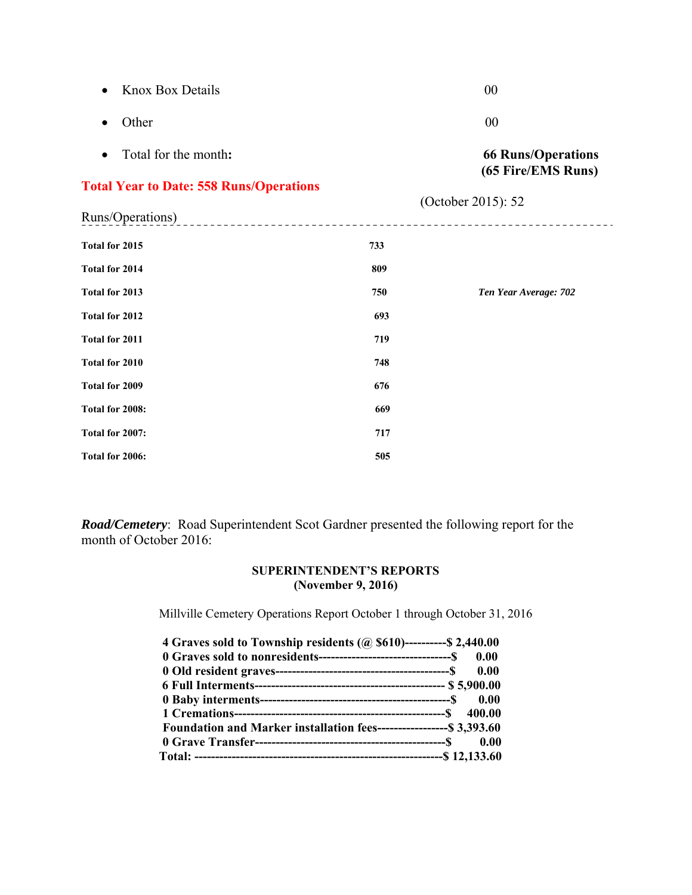| <b>Knox Box Details</b>                        |     | 00                                              |
|------------------------------------------------|-----|-------------------------------------------------|
| Other<br>$\bullet$                             |     | 00                                              |
| Total for the month:<br>$\bullet$              |     | <b>66 Runs/Operations</b><br>(65 Fire/EMS Runs) |
| <b>Total Year to Date: 558 Runs/Operations</b> |     | (October 2015): 52                              |
| Runs/Operations)                               |     |                                                 |
| Total for 2015                                 | 733 |                                                 |
| <b>Total for 2014</b>                          | 809 |                                                 |
| Total for 2013                                 | 750 | Ten Year Average: 702                           |
| Total for 2012                                 | 693 |                                                 |
| <b>Total for 2011</b>                          | 719 |                                                 |
| Total for 2010                                 | 748 |                                                 |
| Total for 2009                                 | 676 |                                                 |
| Total for 2008:                                | 669 |                                                 |
| Total for 2007:                                | 717 |                                                 |
| Total for 2006:                                | 505 |                                                 |

*Road/Cemetery*: Road Superintendent Scot Gardner presented the following report for the month of October 2016:

## **SUPERINTENDENT'S REPORTS (November 9, 2016)**

Millville Cemetery Operations Report October 1 through October 31, 2016

| 4 Graves sold to Township residents (@ \$610)----------\$ 2,440.00    |  |
|-----------------------------------------------------------------------|--|
|                                                                       |  |
|                                                                       |  |
|                                                                       |  |
|                                                                       |  |
|                                                                       |  |
| Foundation and Marker installation fees------------------- \$3,393.60 |  |
|                                                                       |  |
|                                                                       |  |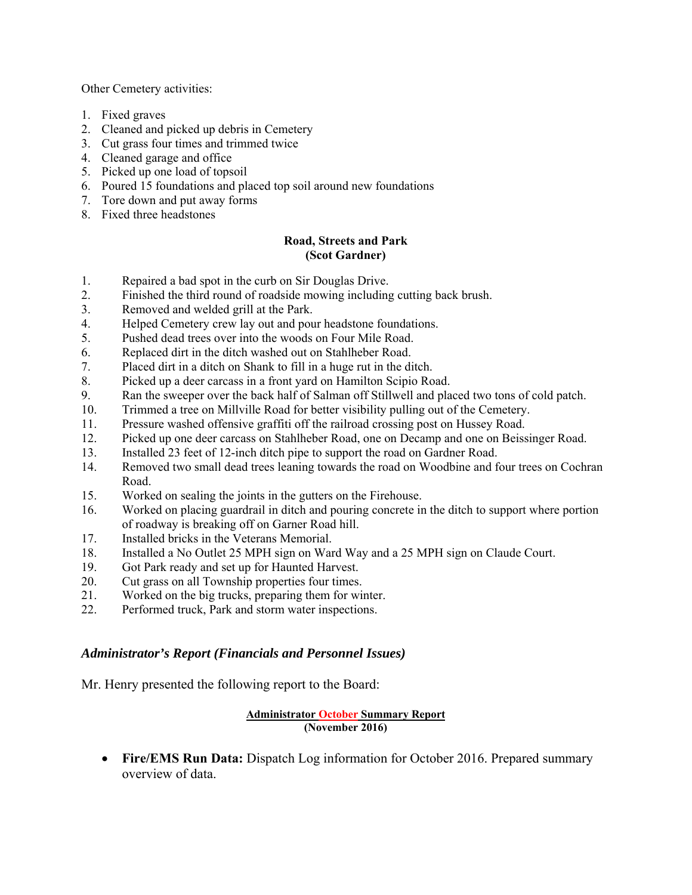Other Cemetery activities:

- 1. Fixed graves
- 2. Cleaned and picked up debris in Cemetery
- 3. Cut grass four times and trimmed twice
- 4. Cleaned garage and office
- 5. Picked up one load of topsoil
- 6. Poured 15 foundations and placed top soil around new foundations
- 7. Tore down and put away forms
- 8. Fixed three headstones

## **Road, Streets and Park (Scot Gardner)**

- 1. Repaired a bad spot in the curb on Sir Douglas Drive.
- 2. Finished the third round of roadside mowing including cutting back brush.
- 3. Removed and welded grill at the Park.
- 4. Helped Cemetery crew lay out and pour headstone foundations.
- 5. Pushed dead trees over into the woods on Four Mile Road.
- 6. Replaced dirt in the ditch washed out on Stahlheber Road.
- 7. Placed dirt in a ditch on Shank to fill in a huge rut in the ditch.
- 8. Picked up a deer carcass in a front yard on Hamilton Scipio Road.
- 9. Ran the sweeper over the back half of Salman off Stillwell and placed two tons of cold patch.
- 10. Trimmed a tree on Millville Road for better visibility pulling out of the Cemetery.
- 11. Pressure washed offensive graffiti off the railroad crossing post on Hussey Road.
- 12. Picked up one deer carcass on Stahlheber Road, one on Decamp and one on Beissinger Road.
- 13. Installed 23 feet of 12-inch ditch pipe to support the road on Gardner Road.
- 14. Removed two small dead trees leaning towards the road on Woodbine and four trees on Cochran Road.
- 15. Worked on sealing the joints in the gutters on the Firehouse.
- 16. Worked on placing guardrail in ditch and pouring concrete in the ditch to support where portion of roadway is breaking off on Garner Road hill.
- 17. Installed bricks in the Veterans Memorial.
- 18. Installed a No Outlet 25 MPH sign on Ward Way and a 25 MPH sign on Claude Court.
- 19. Got Park ready and set up for Haunted Harvest.
- 20. Cut grass on all Township properties four times.
- 21. Worked on the big trucks, preparing them for winter.
- 22. Performed truck, Park and storm water inspections.

# *Administrator's Report (Financials and Personnel Issues)*

Mr. Henry presented the following report to the Board:

## **Administrator October Summary Report (November 2016)**

 **Fire/EMS Run Data:** Dispatch Log information for October 2016. Prepared summary overview of data.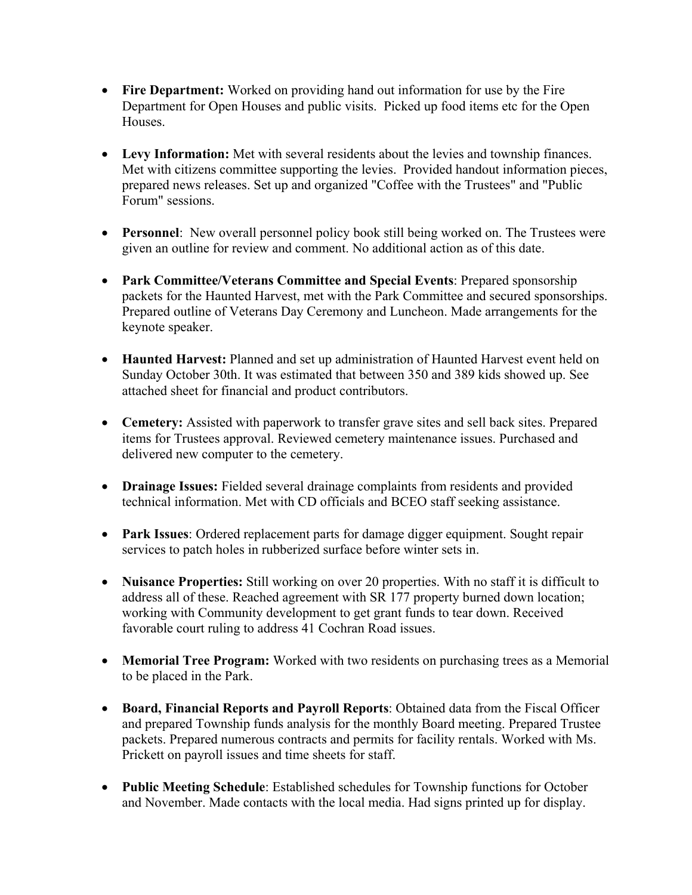- **Fire Department:** Worked on providing hand out information for use by the Fire Department for Open Houses and public visits. Picked up food items etc for the Open Houses.
- **Levy Information:** Met with several residents about the levies and township finances. Met with citizens committee supporting the levies. Provided handout information pieces, prepared news releases. Set up and organized "Coffee with the Trustees" and "Public Forum" sessions.
- **Personnel**: New overall personnel policy book still being worked on. The Trustees were given an outline for review and comment. No additional action as of this date.
- **Park Committee/Veterans Committee and Special Events**: Prepared sponsorship packets for the Haunted Harvest, met with the Park Committee and secured sponsorships. Prepared outline of Veterans Day Ceremony and Luncheon. Made arrangements for the keynote speaker.
- **Haunted Harvest:** Planned and set up administration of Haunted Harvest event held on Sunday October 30th. It was estimated that between 350 and 389 kids showed up. See attached sheet for financial and product contributors.
- **Cemetery:** Assisted with paperwork to transfer grave sites and sell back sites. Prepared items for Trustees approval. Reviewed cemetery maintenance issues. Purchased and delivered new computer to the cemetery.
- **Drainage Issues:** Fielded several drainage complaints from residents and provided technical information. Met with CD officials and BCEO staff seeking assistance.
- **Park Issues**: Ordered replacement parts for damage digger equipment. Sought repair services to patch holes in rubberized surface before winter sets in.
- Nuisance Properties: Still working on over 20 properties. With no staff it is difficult to address all of these. Reached agreement with SR 177 property burned down location; working with Community development to get grant funds to tear down. Received favorable court ruling to address 41 Cochran Road issues.
- **Memorial Tree Program:** Worked with two residents on purchasing trees as a Memorial to be placed in the Park.
- **Board, Financial Reports and Payroll Reports**: Obtained data from the Fiscal Officer and prepared Township funds analysis for the monthly Board meeting. Prepared Trustee packets. Prepared numerous contracts and permits for facility rentals. Worked with Ms. Prickett on payroll issues and time sheets for staff.
- **Public Meeting Schedule**: Established schedules for Township functions for October and November. Made contacts with the local media. Had signs printed up for display.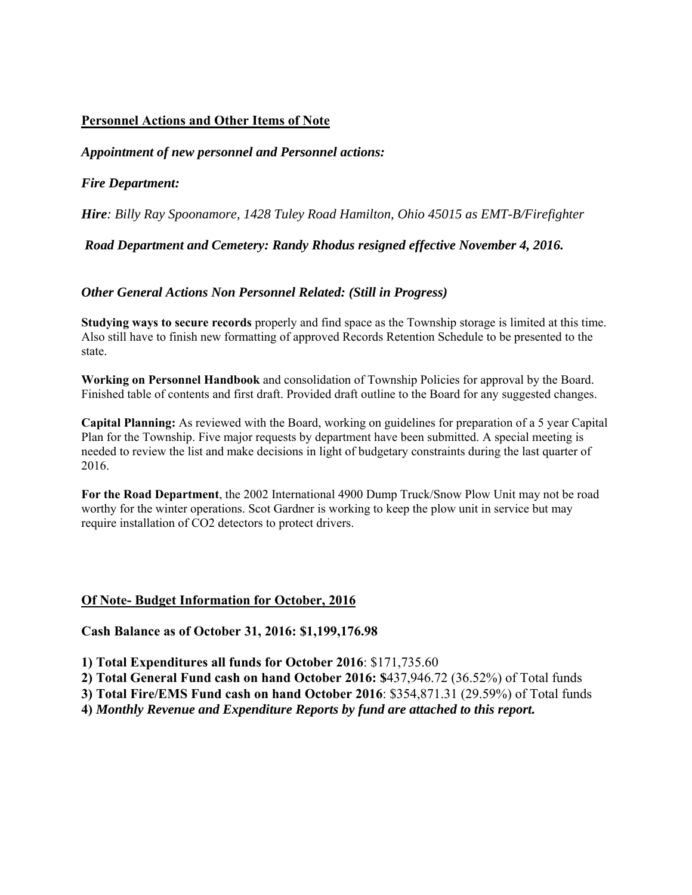# **Personnel Actions and Other Items of Note**

# *Appointment of new personnel and Personnel actions:*

# *Fire Department:*

*Hire: Billy Ray Spoonamore, 1428 Tuley Road Hamilton, Ohio 45015 as EMT-B/Firefighter* 

# *Road Department and Cemetery: Randy Rhodus resigned effective November 4, 2016.*

# *Other General Actions Non Personnel Related: (Still in Progress)*

**Studying ways to secure records** properly and find space as the Township storage is limited at this time. Also still have to finish new formatting of approved Records Retention Schedule to be presented to the state.

**Working on Personnel Handbook** and consolidation of Township Policies for approval by the Board. Finished table of contents and first draft. Provided draft outline to the Board for any suggested changes.

**Capital Planning:** As reviewed with the Board, working on guidelines for preparation of a 5 year Capital Plan for the Township. Five major requests by department have been submitted. A special meeting is needed to review the list and make decisions in light of budgetary constraints during the last quarter of 2016.

**For the Road Department**, the 2002 International 4900 Dump Truck/Snow Plow Unit may not be road worthy for the winter operations. Scot Gardner is working to keep the plow unit in service but may require installation of CO2 detectors to protect drivers.

# **Of Note- Budget Information for October, 2016**

**Cash Balance as of October 31, 2016: \$1,199,176.98** 

**1) Total Expenditures all funds for October 2016**: \$171,735.60

**2) Total General Fund cash on hand October 2016: \$**437,946.72 (36.52%) of Total funds

**3) Total Fire/EMS Fund cash on hand October 2016**: \$354,871.31 (29.59%) of Total funds

**4)** *Monthly Revenue and Expenditure Reports by fund are attached to this report.*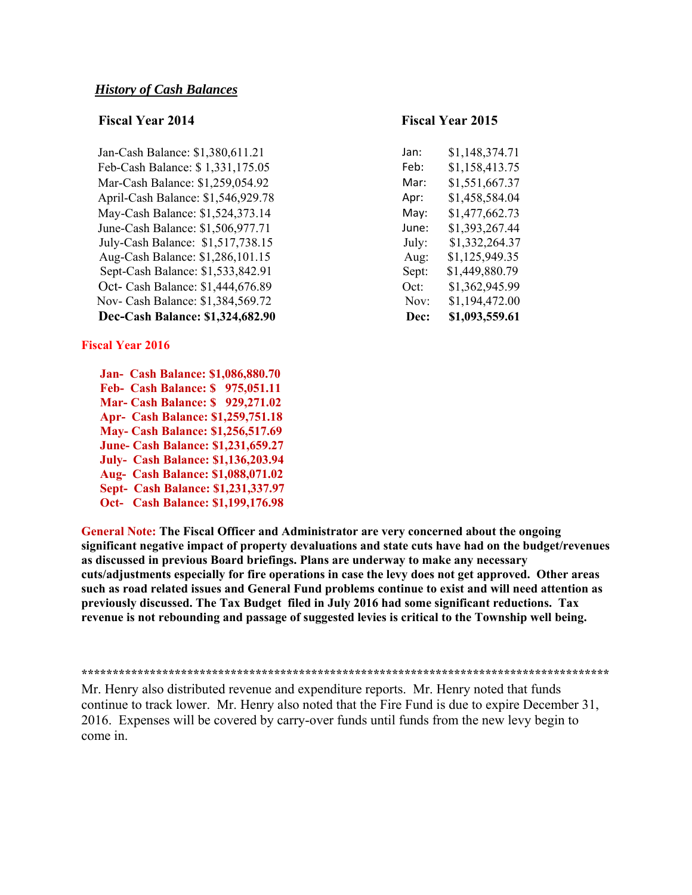| Dec-Cash Balance: \$1,324,682.90   | Dec:  | \$1,093,559.61 |
|------------------------------------|-------|----------------|
| Nov- Cash Balance: \$1,384,569.72  | Nov:  | \$1,194,472.00 |
| Oct- Cash Balance: \$1,444,676.89  | Oct:  | \$1,362,945.99 |
| Sept-Cash Balance: \$1,533,842.91  | Sept: | \$1,449,880.79 |
| Aug-Cash Balance: \$1,286,101.15   | Aug:  | \$1,125,949.35 |
| July-Cash Balance: \$1,517,738.15  | July: | \$1,332,264.37 |
| June-Cash Balance: \$1,506,977.71  | June: | \$1,393,267.44 |
| May-Cash Balance: \$1,524,373.14   | May:  | \$1,477,662.73 |
| April-Cash Balance: \$1,546,929.78 | Apr:  | \$1,458,584.04 |
| Mar-Cash Balance: \$1,259,054.92   | Mar:  | \$1,551,667.37 |
| Feb-Cash Balance: \$1,331,175.05   | Feb:  | \$1,158,413.75 |
| Jan-Cash Balance: \$1,380,611.21   | Jan:  | \$1,148,374.71 |

## **Fiscal Year 2016**

 **Jan- Cash Balance: \$1,086,880.70 Feb- Cash Balance: \$ 975,051.11 Mar- Cash Balance: \$ 929,271.02 Apr- Cash Balance: \$1,259,751.18 May- Cash Balance: \$1,256,517.69 June- Cash Balance: \$1,231,659.27 July- Cash Balance: \$1,136,203.94 Aug- Cash Balance: \$1,088,071.02 Sept- Cash Balance: \$1,231,337.97 Oct- Cash Balance: \$1,199,176.98** 

# **Fiscal Year 2014 Fiscal Year 2015**

| an:         | \$1,148,374.71 |
|-------------|----------------|
| eb:         | \$1,158,413.75 |
| Лаr:        | \$1,551,667.37 |
| \pr:        | \$1,458,584.04 |
| Лау:        | \$1,477,662.73 |
| une:        | \$1,393,267.44 |
| uly:        | \$1,332,264.37 |
| Aug:        | \$1,125,949.35 |
| Sept:       | \$1,449,880.79 |
| )ct:        | \$1,362,945.99 |
| Nov:        | \$1,194,472.00 |
| <b>Dec:</b> | \$1,093,559.61 |

**General Note: The Fiscal Officer and Administrator are very concerned about the ongoing significant negative impact of property devaluations and state cuts have had on the budget/revenues as discussed in previous Board briefings. Plans are underway to make any necessary cuts/adjustments especially for fire operations in case the levy does not get approved. Other areas such as road related issues and General Fund problems continue to exist and will need attention as previously discussed. The Tax Budget filed in July 2016 had some significant reductions. Tax revenue is not rebounding and passage of suggested levies is critical to the Township well being.** 

**\*\*\*\*\*\*\*\*\*\*\*\*\*\*\*\*\*\*\*\*\*\*\*\*\*\*\*\*\*\*\*\*\*\*\*\*\*\*\*\*\*\*\*\*\*\*\*\*\*\*\*\*\*\*\*\*\*\*\*\*\*\*\*\*\*\*\*\*\*\*\*\*\*\*\*\*\*\*\*\*\*\*\*\*\*** 

Mr. Henry also distributed revenue and expenditure reports. Mr. Henry noted that funds continue to track lower. Mr. Henry also noted that the Fire Fund is due to expire December 31, 2016. Expenses will be covered by carry-over funds until funds from the new levy begin to come in.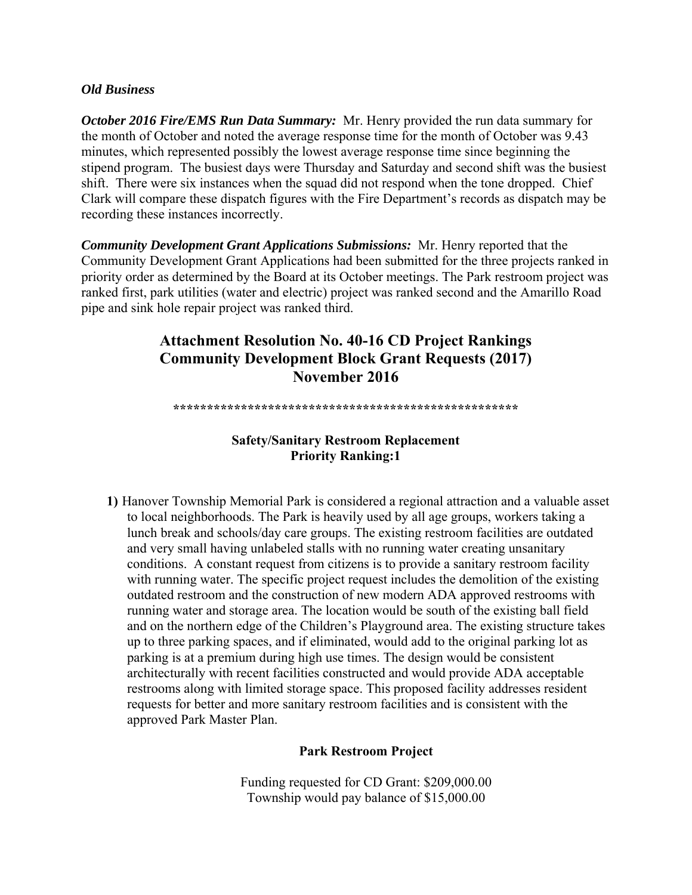## *Old Business*

*October 2016 Fire/EMS Run Data Summary:* Mr. Henry provided the run data summary for the month of October and noted the average response time for the month of October was 9.43 minutes, which represented possibly the lowest average response time since beginning the stipend program. The busiest days were Thursday and Saturday and second shift was the busiest shift. There were six instances when the squad did not respond when the tone dropped. Chief Clark will compare these dispatch figures with the Fire Department's records as dispatch may be recording these instances incorrectly.

*Community Development Grant Applications Submissions:* Mr. Henry reported that the Community Development Grant Applications had been submitted for the three projects ranked in priority order as determined by the Board at its October meetings. The Park restroom project was ranked first, park utilities (water and electric) project was ranked second and the Amarillo Road pipe and sink hole repair project was ranked third.

# **Attachment Resolution No. 40-16 CD Project Rankings Community Development Block Grant Requests (2017) November 2016**

**\*\*\*\*\*\*\*\*\*\*\*\*\*\*\*\*\*\*\*\*\*\*\*\*\*\*\*\*\*\*\*\*\*\*\*\*\*\*\*\*\*\*\*\*\*\*\*\*\*\*\*** 

# **Safety/Sanitary Restroom Replacement Priority Ranking:1**

**1)** Hanover Township Memorial Park is considered a regional attraction and a valuable asset to local neighborhoods. The Park is heavily used by all age groups, workers taking a lunch break and schools/day care groups. The existing restroom facilities are outdated and very small having unlabeled stalls with no running water creating unsanitary conditions. A constant request from citizens is to provide a sanitary restroom facility with running water. The specific project request includes the demolition of the existing outdated restroom and the construction of new modern ADA approved restrooms with running water and storage area. The location would be south of the existing ball field and on the northern edge of the Children's Playground area. The existing structure takes up to three parking spaces, and if eliminated, would add to the original parking lot as parking is at a premium during high use times. The design would be consistent architecturally with recent facilities constructed and would provide ADA acceptable restrooms along with limited storage space. This proposed facility addresses resident requests for better and more sanitary restroom facilities and is consistent with the approved Park Master Plan.

# **Park Restroom Project**

Funding requested for CD Grant: \$209,000.00 Township would pay balance of \$15,000.00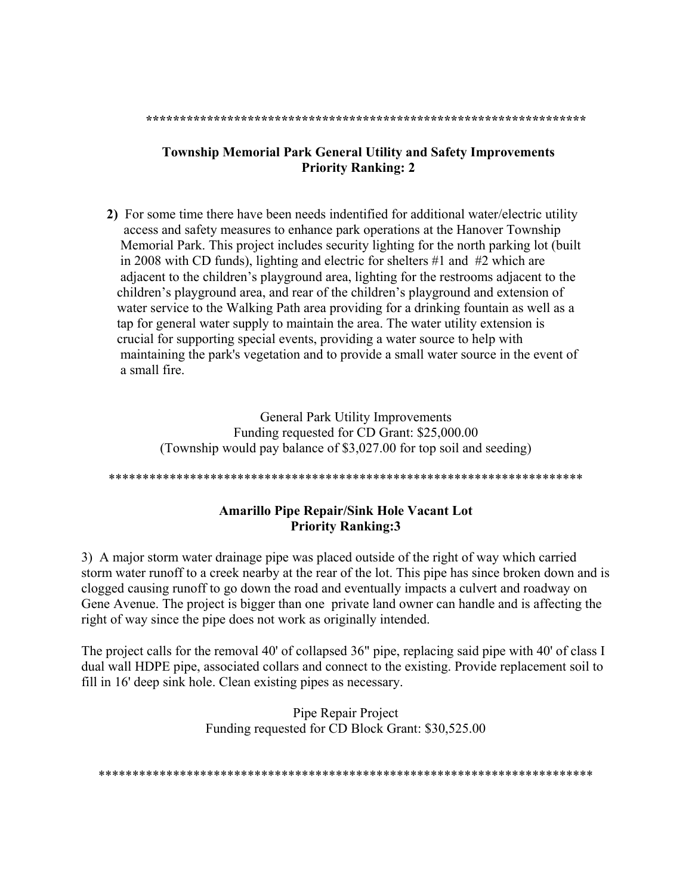#### **\*\*\*\*\*\*\*\*\*\*\*\*\*\*\*\*\*\*\*\*\*\*\*\*\*\*\*\*\*\*\*\*\*\*\*\*\*\*\*\*\*\*\*\*\*\*\*\*\*\*\*\*\*\*\*\*\*\*\*\*\*\*\*\*\***

# **Township Memorial Park General Utility and Safety Improvements Priority Ranking: 2**

**2)**For some time there have been needs indentified for additional water/electric utility access and safety measures to enhance park operations at the Hanover Township Memorial Park. This project includes security lighting for the north parking lot (built in 2008 with CD funds), lighting and electric for shelters #1 and #2 which are adjacent to the children's playground area, lighting for the restrooms adjacent to the children's playground area, and rear of the children's playground and extension of water service to the Walking Path area providing for a drinking fountain as well as a tap for general water supply to maintain the area. The water utility extension is crucial for supporting special events, providing a water source to help with maintaining the park's vegetation and to provide a small water source in the event of a small fire.

> General Park Utility Improvements Funding requested for CD Grant: \$25,000.00 (Township would pay balance of \$3,027.00 for top soil and seeding)

### \*\*\*\*\*\*\*\*\*\*\*\*\*\*\*\*\*\*\*\*\*\*\*\*\*\*\*\*\*\*\*\*\*\*\*\*\*\*\*\*\*\*\*\*\*\*\*\*\*\*\*\*\*\*\*\*\*\*\*\*\*\*\*\*\*\*\*\*\*\*

# **Amarillo Pipe Repair/Sink Hole Vacant Lot Priority Ranking:3**

3) A major storm water drainage pipe was placed outside of the right of way which carried storm water runoff to a creek nearby at the rear of the lot. This pipe has since broken down and is clogged causing runoff to go down the road and eventually impacts a culvert and roadway on Gene Avenue. The project is bigger than one private land owner can handle and is affecting the right of way since the pipe does not work as originally intended.

The project calls for the removal 40' of collapsed 36" pipe, replacing said pipe with 40' of class I dual wall HDPE pipe, associated collars and connect to the existing. Provide replacement soil to fill in 16' deep sink hole. Clean existing pipes as necessary.

> Pipe Repair Project Funding requested for CD Block Grant: \$30,525.00

\*\*\*\*\*\*\*\*\*\*\*\*\*\*\*\*\*\*\*\*\*\*\*\*\*\*\*\*\*\*\*\*\*\*\*\*\*\*\*\*\*\*\*\*\*\*\*\*\*\*\*\*\*\*\*\*\*\*\*\*\*\*\*\*\*\*\*\*\*\*\*\*\*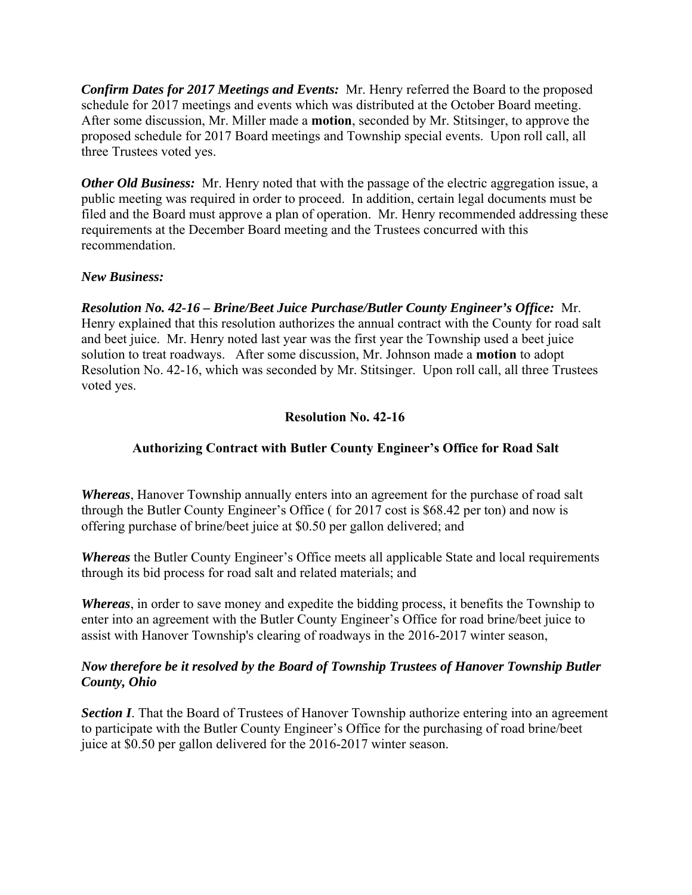*Confirm Dates for 2017 Meetings and Events:* Mr. Henry referred the Board to the proposed schedule for 2017 meetings and events which was distributed at the October Board meeting. After some discussion, Mr. Miller made a **motion**, seconded by Mr. Stitsinger, to approve the proposed schedule for 2017 Board meetings and Township special events. Upon roll call, all three Trustees voted yes.

*Other Old Business:* Mr. Henry noted that with the passage of the electric aggregation issue, a public meeting was required in order to proceed. In addition, certain legal documents must be filed and the Board must approve a plan of operation. Mr. Henry recommended addressing these requirements at the December Board meeting and the Trustees concurred with this recommendation.

# *New Business:*

*Resolution No. 42-16 – Brine/Beet Juice Purchase/Butler County Engineer's Office:* Mr. Henry explained that this resolution authorizes the annual contract with the County for road salt and beet juice. Mr. Henry noted last year was the first year the Township used a beet juice solution to treat roadways. After some discussion, Mr. Johnson made a **motion** to adopt Resolution No. 42-16, which was seconded by Mr. Stitsinger. Upon roll call, all three Trustees voted yes.

# **Resolution No. 42-16**

# **Authorizing Contract with Butler County Engineer's Office for Road Salt**

*Whereas*, Hanover Township annually enters into an agreement for the purchase of road salt through the Butler County Engineer's Office ( for 2017 cost is \$68.42 per ton) and now is offering purchase of brine/beet juice at \$0.50 per gallon delivered; and

*Whereas* the Butler County Engineer's Office meets all applicable State and local requirements through its bid process for road salt and related materials; and

*Whereas*, in order to save money and expedite the bidding process, it benefits the Township to enter into an agreement with the Butler County Engineer's Office for road brine/beet juice to assist with Hanover Township's clearing of roadways in the 2016-2017 winter season,

# *Now therefore be it resolved by the Board of Township Trustees of Hanover Township Butler County, Ohio*

**Section I**. That the Board of Trustees of Hanover Township authorize entering into an agreement to participate with the Butler County Engineer's Office for the purchasing of road brine/beet juice at \$0.50 per gallon delivered for the 2016-2017 winter season.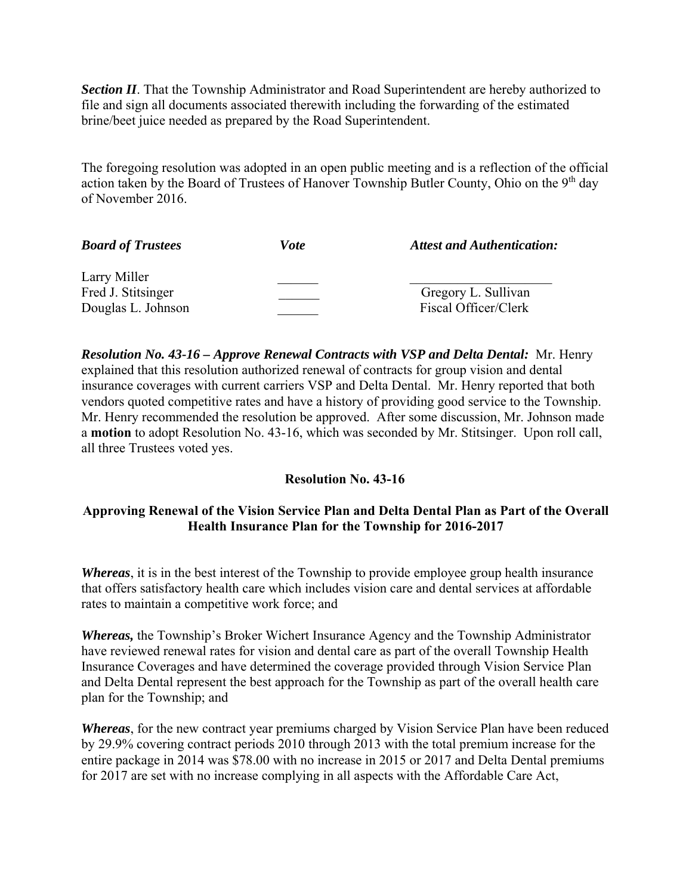**Section II**. That the Township Administrator and Road Superintendent are hereby authorized to file and sign all documents associated therewith including the forwarding of the estimated brine/beet juice needed as prepared by the Road Superintendent.

The foregoing resolution was adopted in an open public meeting and is a reflection of the official action taken by the Board of Trustees of Hanover Township Butler County, Ohio on the 9<sup>th</sup> day of November 2016.

| <b>Board of Trustees</b> | <i>Vote</i> | <b>Attest and Authentication:</b> |
|--------------------------|-------------|-----------------------------------|
| Larry Miller             |             |                                   |
| Fred J. Stitsinger       |             | Gregory L. Sullivan               |
| Douglas L. Johnson       |             | Fiscal Officer/Clerk              |

*Resolution No. 43-16 – Approve Renewal Contracts with VSP and Delta Dental:* Mr. Henry explained that this resolution authorized renewal of contracts for group vision and dental insurance coverages with current carriers VSP and Delta Dental. Mr. Henry reported that both vendors quoted competitive rates and have a history of providing good service to the Township. Mr. Henry recommended the resolution be approved. After some discussion, Mr. Johnson made a **motion** to adopt Resolution No. 43-16, which was seconded by Mr. Stitsinger. Upon roll call, all three Trustees voted yes.

# **Resolution No. 43-16**

# **Approving Renewal of the Vision Service Plan and Delta Dental Plan as Part of the Overall Health Insurance Plan for the Township for 2016-2017**

*Whereas*, it is in the best interest of the Township to provide employee group health insurance that offers satisfactory health care which includes vision care and dental services at affordable rates to maintain a competitive work force; and

*Whereas,* the Township's Broker Wichert Insurance Agency and the Township Administrator have reviewed renewal rates for vision and dental care as part of the overall Township Health Insurance Coverages and have determined the coverage provided through Vision Service Plan and Delta Dental represent the best approach for the Township as part of the overall health care plan for the Township; and

*Whereas*, for the new contract year premiums charged by Vision Service Plan have been reduced by 29.9% covering contract periods 2010 through 2013 with the total premium increase for the entire package in 2014 was \$78.00 with no increase in 2015 or 2017 and Delta Dental premiums for 2017 are set with no increase complying in all aspects with the Affordable Care Act,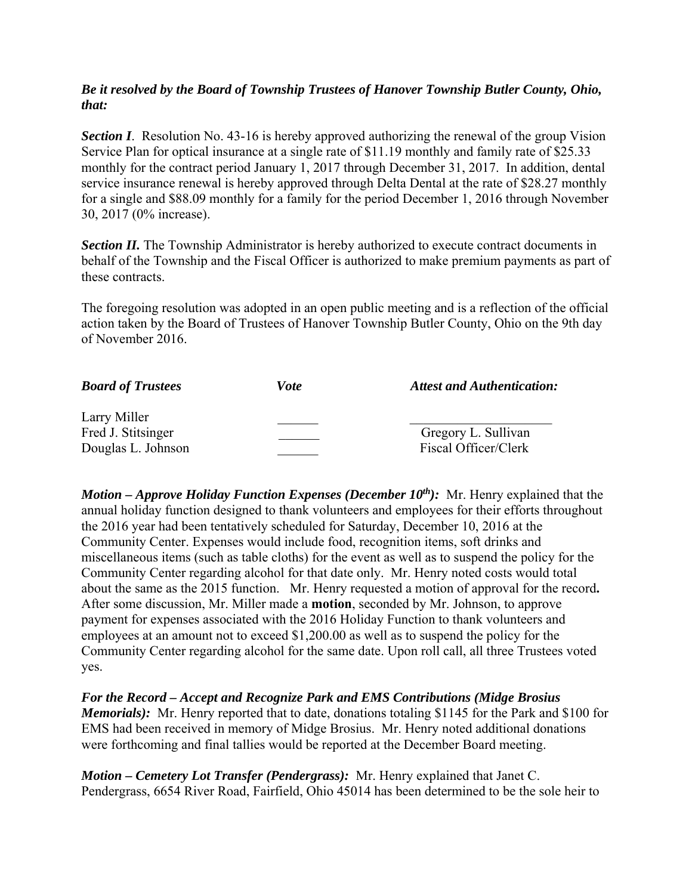# *Be it resolved by the Board of Township Trustees of Hanover Township Butler County, Ohio, that:*

**Section I**. Resolution No. 43-16 is hereby approved authorizing the renewal of the group Vision Service Plan for optical insurance at a single rate of \$11.19 monthly and family rate of \$25.33 monthly for the contract period January 1, 2017 through December 31, 2017. In addition, dental service insurance renewal is hereby approved through Delta Dental at the rate of \$28.27 monthly for a single and \$88.09 monthly for a family for the period December 1, 2016 through November 30, 2017 (0% increase).

**Section II.** The Township Administrator is hereby authorized to execute contract documents in behalf of the Township and the Fiscal Officer is authorized to make premium payments as part of these contracts.

The foregoing resolution was adopted in an open public meeting and is a reflection of the official action taken by the Board of Trustees of Hanover Township Butler County, Ohio on the 9th day of November 2016.

| <b>Board of Trustees</b> | Vote | <b>Attest and Authentication:</b> |
|--------------------------|------|-----------------------------------|
| Larry Miller             |      |                                   |
| Fred J. Stitsinger       |      | Gregory L. Sullivan               |
| Douglas L. Johnson       |      | Fiscal Officer/Clerk              |

*Motion – Approve Holiday Function Expenses (December 10<sup>th</sup>): Mr. Henry explained that the* annual holiday function designed to thank volunteers and employees for their efforts throughout the 2016 year had been tentatively scheduled for Saturday, December 10, 2016 at the Community Center. Expenses would include food, recognition items, soft drinks and miscellaneous items (such as table cloths) for the event as well as to suspend the policy for the Community Center regarding alcohol for that date only. Mr. Henry noted costs would total about the same as the 2015 function. Mr. Henry requested a motion of approval for the record**.**  After some discussion, Mr. Miller made a **motion**, seconded by Mr. Johnson, to approve payment for expenses associated with the 2016 Holiday Function to thank volunteers and employees at an amount not to exceed \$1,200.00 as well as to suspend the policy for the Community Center regarding alcohol for the same date. Upon roll call, all three Trustees voted yes.

*For the Record – Accept and Recognize Park and EMS Contributions (Midge Brosius Memorials):* Mr. Henry reported that to date, donations totaling \$1145 for the Park and \$100 for EMS had been received in memory of Midge Brosius. Mr. Henry noted additional donations were forthcoming and final tallies would be reported at the December Board meeting.

*Motion – Cemetery Lot Transfer (Pendergrass):* Mr. Henry explained that Janet C. Pendergrass, 6654 River Road, Fairfield, Ohio 45014 has been determined to be the sole heir to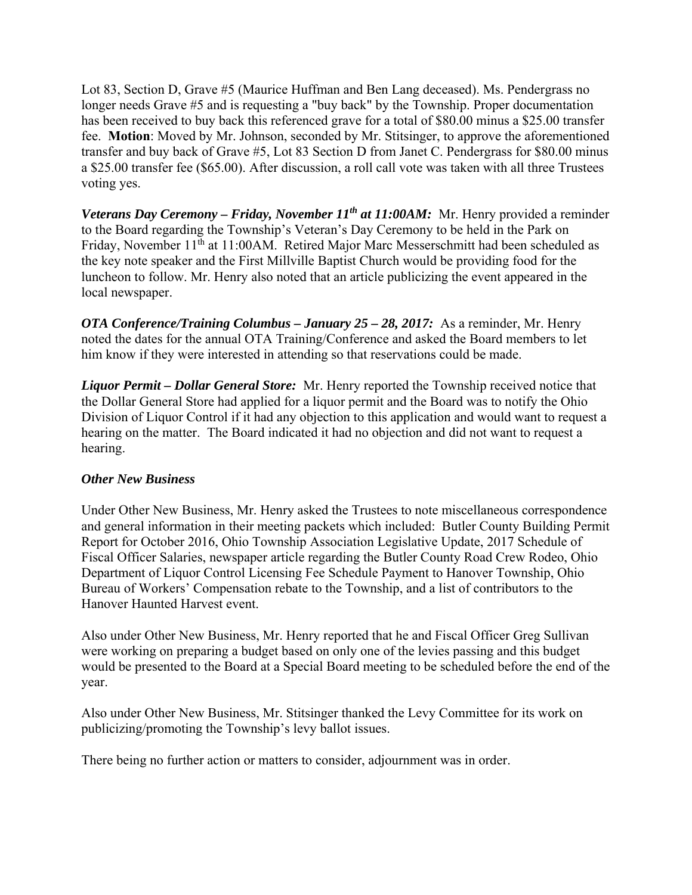Lot 83, Section D, Grave #5 (Maurice Huffman and Ben Lang deceased). Ms. Pendergrass no longer needs Grave #5 and is requesting a "buy back" by the Township. Proper documentation has been received to buy back this referenced grave for a total of \$80.00 minus a \$25.00 transfer fee. **Motion**: Moved by Mr. Johnson, seconded by Mr. Stitsinger, to approve the aforementioned transfer and buy back of Grave #5, Lot 83 Section D from Janet C. Pendergrass for \$80.00 minus a \$25.00 transfer fee (\$65.00). After discussion, a roll call vote was taken with all three Trustees voting yes.

*Veterans Day Ceremony – Friday, November 11th at 11:00AM:* Mr. Henry provided a reminder to the Board regarding the Township's Veteran's Day Ceremony to be held in the Park on Friday, November 11<sup>th</sup> at 11:00AM. Retired Major Marc Messerschmitt had been scheduled as the key note speaker and the First Millville Baptist Church would be providing food for the luncheon to follow. Mr. Henry also noted that an article publicizing the event appeared in the local newspaper.

*OTA Conference/Training Columbus – January 25 – 28, 2017:* As a reminder, Mr. Henry noted the dates for the annual OTA Training/Conference and asked the Board members to let him know if they were interested in attending so that reservations could be made.

*Liquor Permit – Dollar General Store:* Mr. Henry reported the Township received notice that the Dollar General Store had applied for a liquor permit and the Board was to notify the Ohio Division of Liquor Control if it had any objection to this application and would want to request a hearing on the matter. The Board indicated it had no objection and did not want to request a hearing.

# *Other New Business*

Under Other New Business, Mr. Henry asked the Trustees to note miscellaneous correspondence and general information in their meeting packets which included: Butler County Building Permit Report for October 2016, Ohio Township Association Legislative Update, 2017 Schedule of Fiscal Officer Salaries, newspaper article regarding the Butler County Road Crew Rodeo, Ohio Department of Liquor Control Licensing Fee Schedule Payment to Hanover Township, Ohio Bureau of Workers' Compensation rebate to the Township, and a list of contributors to the Hanover Haunted Harvest event.

Also under Other New Business, Mr. Henry reported that he and Fiscal Officer Greg Sullivan were working on preparing a budget based on only one of the levies passing and this budget would be presented to the Board at a Special Board meeting to be scheduled before the end of the year.

Also under Other New Business, Mr. Stitsinger thanked the Levy Committee for its work on publicizing/promoting the Township's levy ballot issues.

There being no further action or matters to consider, adjournment was in order.